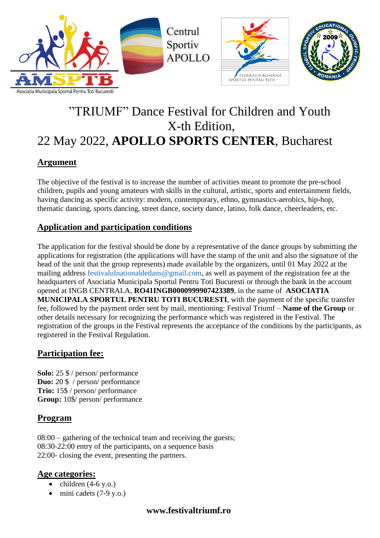

# "TRIUMF" Dance Festival for Children and Youth X-th Edition, 22 May 2022, **APOLLO SPORTS CENTER**, Bucharest

# **Argument**

The objective of the festival is to increase the number of activities meant to promote the pre-school children, pupils and young amateurs with skills in the cultural, artistic, sports and entertainment fields, having dancing as specific activity: modern, contemporary, ethno, gymnastics-aerobics, hip-hop, thematic dancing, sports dancing, street dance, society dance, latino, folk dance, cheerleaders, etc.

# **Application and participation conditions**

The application for the festival should be done by a representative of the dance groups by submitting the applications for registration (the applications will have the stamp of the unit and also the signature of the head of the unit that the group represents) made available by the organizers, until 01 May 2022 at the mailing address [festivalulnationaldedans@gmail.com,](mailto:festivalulnationaldedans@gmail.com) as well as payment of the registration fee at the headquarters of Asociatia Municipala Sportul Pentru Toti Bucuresti or through the bank in the account opened at INGB CENTRALA, **RO41INGB0000999907423389**, in the name of **ASOCIATIA MUNICIPALA SPORTUL PENTRU TOTI BUCURESTI**, with the payment of the specific transfer fee, followed by the payment order sent by mail, mentioning: Festival Triumf – **Name of the Group** or other details necessary for recognizing the performance which was registered in the Festival. The registration of the groups in the Festival represents the acceptance of the conditions by the participants, as registered in the Festival Regulation.

# **Participation fee:**

**Solo:** 25 \$ / person/ performance **Duo:** 20 \$ / person/ performance **Trio:** 15\$ / person/ performance **Group:** 10\$/ person/ performance

# **Program**

08:00 – gathering of the technical team and receiving the guests; 08:30-22:00 entry of the participants, on a sequence basis 22:00- closing the event, presenting the partners.

# **Age categories:**

- $\bullet$  children (4-6 y.o.)
- $\bullet$  mini cadets (7-9 y.o.)

# **www.festivaltriumf.ro**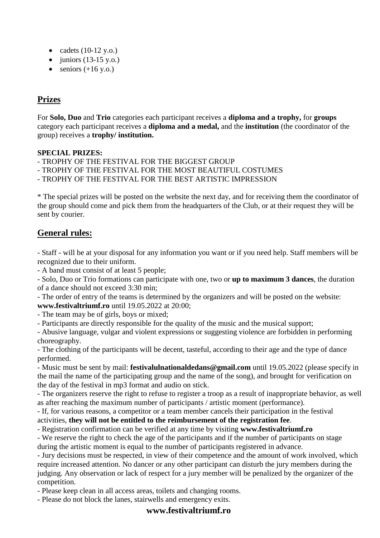- cadets  $(10-12 \text{ y.o.})$
- $\bullet$  juniors (13-15 y.o.)
- $\bullet$  seniors (+16 y.o.)

# **Prizes**

For **Solo, Duo** and **Trio** categories each participant receives a **diploma and a trophy,** for **groups** category each participant receives a **diploma and a medal,** and the **institution** (the coordinator of the group) receives a **trophy/ institution.**

#### **SPECIAL PRIZES:**

- TROPHY OF THE FESTIVAL FOR THE BIGGEST GROUP

- TROPHY OF THE FESTIVAL FOR THE MOST BEAUTIFUL COSTUMES

- TROPHY OF THE FESTIVAL FOR THE BEST ARTISTIC IMPRESSION

\* The special prizes will be posted on the website the next day, and for receiving them the coordinator of the group should come and pick them from the headquarters of the Club, or at their request they will be sent by courier.

# **General rules:**

- Staff - will be at your disposal for any information you want or if you need help. Staff members will be recognized due to their uniform.

- A band must consist of at least 5 people;

- Solo, Duo or Trio formations can participate with one, two or **up to maximum 3 dances**, the duration of a dance should not exceed 3:30 min;

- The order of entry of the teams is determined by the organizers and will be posted on the website: **www.festivaltriumf.ro** until 19.05.2022 at 20:00;

- The team may be of girls, boys or mixed;

- Participants are directly responsible for the quality of the music and the musical support;

- Abusive language, vulgar and violent expressions or suggesting violence are forbidden in performing choreography.

- The clothing of the participants will be decent, tasteful, according to their age and the type of dance performed.

- Music must be sent by mail: **festivalulnationaldedans@gmail.com** until 19.05.2022 (please specify in the mail the name of the participating group and the name of the song), and brought for verification on the day of the festival in mp3 format and audio on stick.

- The organizers reserve the right to refuse to register a troop as a result of inappropriate behavior, as well as after reaching the maximum number of participants / artistic moment (performance).

- If, for various reasons, a competitor or a team member cancels their participation in the festival activities, **they will not be entitled to the reimbursement of the registration fee**.

- Registration confirmation can be verified at any time by visiting **www.festivaltriumf.ro**

- We reserve the right to check the age of the participants and if the number of participants on stage during the artistic moment is equal to the number of participants registered in advance.

- Jury decisions must be respected, in view of their competence and the amount of work involved, which require increased attention. No dancer or any other participant can disturb the jury members during the judging. Any observation or lack of respect for a jury member will be penalized by the organizer of the competition.

- Please keep clean in all access areas, toilets and changing rooms.

- Please do not block the lanes, stairwells and emergency exits.

#### **www.festivaltriumf.ro**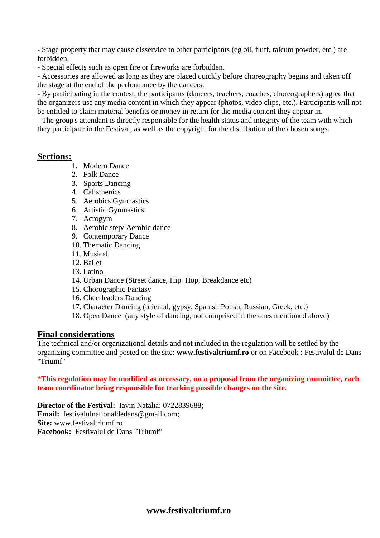- Stage property that may cause disservice to other participants (eg oil, fluff, talcum powder, etc.) are forbidden.

- Special effects such as open fire or fireworks are forbidden.

- Accessories are allowed as long as they are placed quickly before choreography begins and taken off the stage at the end of the performance by the dancers.

- By participating in the contest, the participants (dancers, teachers, coaches, choreographers) agree that the organizers use any media content in which they appear (photos, video clips, etc.). Participants will not be entitled to claim material benefits or money in return for the media content they appear in.

- The group's attendant is directly responsible for the health status and integrity of the team with which they participate in the Festival, as well as the copyright for the distribution of the chosen songs.

#### **Sections:**

- 1. Modern Dance
- 2. Folk Dance
- 3. Sports Dancing
- 4. Calisthenics
- 5. Aerobics Gymnastics
- 6. Artistic Gymnastics
- 7. Acrogym
- 8. Aerobic step/ Aerobic dance
- 9. Contemporary Dance
- 10. Thematic Dancing
- 11. Musical
- 12. Ballet
- 13. Latino
- 14. Urban Dance (Street dance, Hip Hop, Breakdance etc)
- 15. Chorographic Fantasy
- 16. Cheerleaders Dancing
- 17. Character Dancing (oriental, gypsy, Spanish Polish, Russian, Greek, etc.)
- 18. Open Dance (any style of dancing, not comprised in the ones mentioned above)

#### **Final considerations**

The technical and/or organizational details and not included in the regulation will be settled by the organizing committee and posted on the site: **[www.festivaltriumf.ro](http://www.festivaltriumf.ro/)** or on Facebook : Festivalul de Dans "Triumf"

**\*This regulation may be modified as necessary, on a proposal from the organizing committee, each team coordinator being responsible for tracking possible changes on the site.**

**Director of the Festival:** Iavin Natalia: 0722839688; **Email:** [festivalulnationaldedans@gmail.com;](mailto:festivalulnationaldedans@gmail.com) **Site:** [www.festivaltriumf.ro](http://www.festivaltriumf.ro/) **Facebook:** Festivalul de Dans "Triumf"